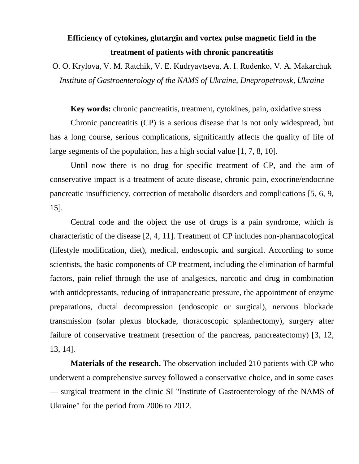# **Efficiency of cytokines, glutargin and vortex pulse magnetic field in the treatment of patients with chronic pancreatitis**

O. O. Krylova, V. M. Ratchik, V. E. Kudryavtseva, A. І. Rudenko, V. A. Makarchuk *Institute of Gastroenterology of the NAMS of Ukraine, Dnepropetrovsk, Ukraine*

**Key words:** chronic pancreatitis, treatment, cytokines, pain, oxidative stress

Chronic pancreatitis (CP) is a serious disease that is not only widespread, but has a long course, serious complications, significantly affects the quality of life of large segments of the population, has a high social value [1, 7, 8, 10].

Until now there is no drug for specific treatment of CP, and the aim of conservative impact is a treatment of acute disease, chronic pain, exocrine/endocrine pancreatic insufficiency, correction of metabolic disorders and complications [5, 6, 9, 15].

Central code and the object the use of drugs is a pain syndrome, which is characteristic of the disease [2, 4, 11]. Treatment of CP includes non-pharmacological (lifestyle modification, diet), medical, endoscopic and surgical. According to some scientists, the basic components of CP treatment, including the elimination of harmful factors, pain relief through the use of analgesics, narcotic and drug in combination with antidepressants, reducing of intrapancreatic pressure, the appointment of enzyme preparations, ductal decompression (endoscopic or surgical), nervous blockade transmission (solar plexus blockade, thoracoscopic splanhectomy), surgery after failure of conservative treatment (resection of the pancreas, pancreatectomy) [3, 12, 13, 14].

**Materials of the research.** The observation included 210 patients with CP who underwent a comprehensive survey followed a conservative choice, and in some cases — surgical treatment in the clinic SI "Institute of Gastroenterology of the NAMS of Ukraine" for the period from 2006 to 2012.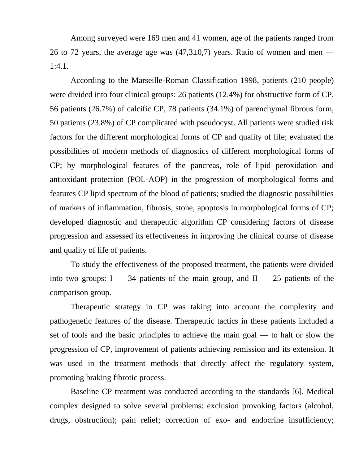Among surveyed were 169 men and 41 women, age of the patients ranged from 26 to 72 years, the average age was  $(47,3\pm0,7)$  years. Ratio of women and men — 1:4.1.

According to the Marseille-Roman Classification 1998, patients (210 people) were divided into four clinical groups: 26 patients (12.4%) for obstructive form of CP, 56 patients (26.7%) of calcific CP, 78 patients (34.1%) of parenchymal fibrous form, 50 patients (23.8%) of CP complicated with pseudocyst. All patients were studied risk factors for the different morphological forms of CP and quality of life; evaluated the possibilities of modern methods of diagnostics of different morphological forms of CP; by morphological features of the pancreas, role of lipid peroxidation and antioxidant protection (POL-AOP) in the progression of morphological forms and features CP lipid spectrum of the blood of patients; studied the diagnostic possibilities of markers of inflammation, fibrosis, stone, apoptosis in morphological forms of CP; developed diagnostic and therapeutic algorithm CP considering factors of disease progression and assessed its effectiveness in improving the clinical course of disease and quality of life of patients.

To study the effectiveness of the proposed treatment, the patients were divided into two groups:  $I - 34$  patients of the main group, and  $II - 25$  patients of the comparison group.

Therapeutic strategy in CP was taking into account the complexity and pathogenetic features of the disease. Therapeutic tactics in these patients included a set of tools and the basic principles to achieve the main goal — to halt or slow the progression of CP, improvement of patients achieving remission and its extension. It was used in the treatment methods that directly affect the regulatory system, promoting braking fibrotic process.

Baseline CP treatment was conducted according to the standards [6]. Medical complex designed to solve several problems: exclusion provoking factors (alcohol, drugs, obstruction); pain relief; correction of exo- and endocrine insufficiency;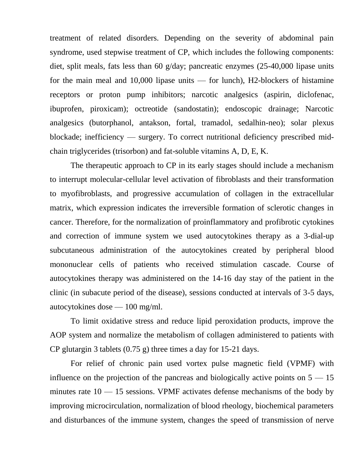treatment of related disorders. Depending on the severity of abdominal pain syndrome, used stepwise treatment of CP, which includes the following components: diet, split meals, fats less than 60 g/day; pancreatic enzymes (25-40,000 lipase units for the main meal and 10,000 lipase units — for lunch), H2-blockers of histamine receptors or proton pump inhibitors; narcotic analgesics (aspirin, diclofenac, ibuprofen, piroxicam); octreotide (sandostatin); endoscopic drainage; Narcotic analgesics (butorphanol, antakson, fortal, tramadol, sedalhin-neo); solar plexus blockade; inefficiency — surgery. To correct nutritional deficiency prescribed midchain triglycerides (trisorbon) and fat-soluble vitamins A, D, E, K.

The therapeutic approach to CP in its early stages should include a mechanism to interrupt molecular-cellular level activation of fibroblasts and their transformation to myofibroblasts, and progressive accumulation of collagen in the extracellular matrix, which expression indicates the irreversible formation of sclerotic changes in cancer. Therefore, for the normalization of proinflammatory and profibrotic cytokines and correction of immune system we used autocytokines therapy as a 3-dial-up subcutaneous administration of the autocytokines created by peripheral blood mononuclear cells of patients who received stimulation cascade. Course of autocytokines therapy was administered on the 14-16 day stay of the patient in the clinic (in subacute period of the disease), sessions conducted at intervals of 3-5 days, autocytokines dose — 100 mg/ml.

To limit oxidative stress and reduce lipid peroxidation products, improve the AOP system and normalize the metabolism of collagen administered to patients with CP glutargin 3 tablets (0.75 g) three times a day for 15-21 days.

For relief of chronic pain used vortex pulse magnetic field (VPMF) with influence on the projection of the pancreas and biologically active points on  $5 - 15$ minutes rate  $10 - 15$  sessions. VPMF activates defense mechanisms of the body by improving microcirculation, normalization of blood rheology, biochemical parameters and disturbances of the immune system, changes the speed of transmission of nerve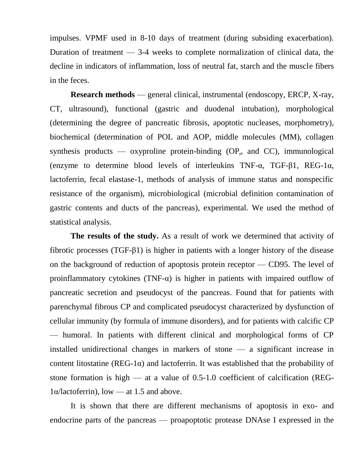impulses. VPMF used in 8-10 days of treatment (during subsiding exacerbation). Duration of treatment  $-3-4$  weeks to complete normalization of clinical data, the decline in indicators of inflammation, loss of neutral fat, starch and the muscle fibers in the feces.

**Research methods** — general clinical, instrumental (endoscopy, ERCP, X-ray, CT, ultrasound), functional (gastric and duodenal intubation), morphological (determining the degree of pancreatic fibrosis, apoptotic nucleases, morphometry), biochemical (determination of POL and AOP, middle molecules (MM), collagen synthesis products — oxyproline protein-binding  $OP_{\phi}$  and CC), immunological (enzyme to determine blood levels of interleukins TNF-α, TGF-β1, REG-1α, lactoferrin, fecal elastase-1, methods of analysis of immune status and nonspecific resistance of the organism), microbiological (microbial definition contamination of gastric contents and ducts of the pancreas), experimental. We used the method of statistical analysis.

**The results of the study.** As a result of work we determined that activity of fibrotic processes (TGF-β1) is higher in patients with a longer history of the disease on the background of reduction of apoptosis protein receptor — CD95. The level of proinflammatory cytokines (TNF- $\alpha$ ) is higher in patients with impaired outflow of pancreatic secretion and pseudocyst of the pancreas. Found that for patients with parenchymal fibrous CP and complicated pseudocyst characterized by dysfunction of cellular immunity (by formula of immune disorders), and for patients with calcific CP — humoral. In patients with different clinical and morphological forms of CP installed unidirectional changes in markers of stone — a significant increase in content litostatine (REG-1 $\alpha$ ) and lactoferrin. It was established that the probability of stone formation is high — at a value of 0.5-1.0 coefficient of calcification (REG-1α/lactoferrin), low — at 1.5 and above.

It is shown that there are different mechanisms of apoptosis in exo- and endocrine parts of the pancreas — proapoptotic protease DNAse I expressed in the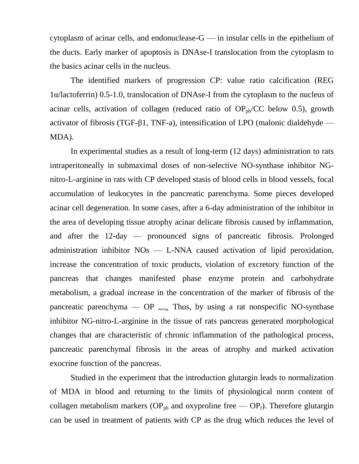cytoplasm of acinar cells, and endonuclease-G — in insular cells in the epithelium of the ducts. Early marker of apoptosis is DNAse-I translocation from the cytoplasm to the basics acinar cells in the nucleus.

The identified markers of progression CP: value ratio calcification (REG 1α/lactoferrin) 0.5-1.0, translocation of DNAse-I from the cytoplasm to the nucleus of acinar cells, activation of collagen (reduced ratio of  $OP_{pb}/CC$  below 0.5), growth activator of fibrosis (TGF-β1, TNF-a), intensification of LPO (malonic dialdehyde — MDA).

In experimental studies as a result of long-term (12 days) administration to rats intraperitoneally in submaximal doses of non-selective NO-synthase inhibitor NGnitro-L-arginine in rats with CP developed stasis of blood cells in blood vessels, focal accumulation of leukocytes in the pancreatic parenchyma. Some pieces developed acinar cell degeneration. In some cases, after a 6-day administration of the inhibitor in the area of developing tissue atrophy acinar delicate fibrosis caused by inflammation, and after the 12-day — pronounced signs of pancreatic fibrosis. Prolonged administration inhibitor NOs — L-NNA caused activation of lipid peroxidation, increase the concentration of toxic products, violation of excretory function of the pancreas that changes manifested phase enzyme protein and carbohydrate metabolism, a gradual increase in the concentration of the marker of fibrosis of the pancreatic parenchyma — OP  $_{mixing}$ . Thus, by using a rat nonspecific NO-synthase inhibitor NG-nitro-L-arginine in the tissue of rats pancreas generated morphological changes that are characteristic of chronic inflammation of the pathological process, pancreatic parenchymal fibrosis in the areas of atrophy and marked activation exocrine function of the pancreas.

Studied in the experiment that the introduction glutargin leads to normalization of MDA in blood and returning to the limits of physiological norm content of collagen metabolism markers (OP<sub>pb</sub> and oxyproline free  $-$  OP<sub>f</sub>). Therefore glutargin can be used in treatment of patients with CP as the drug which reduces the level of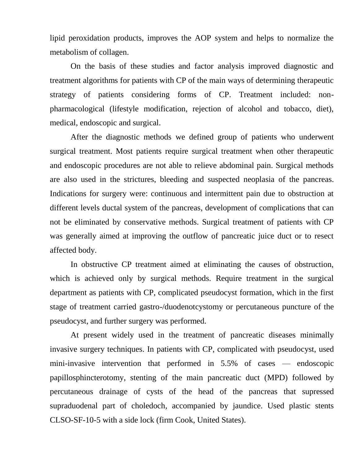lipid peroxidation products, improves the AOP system and helps to normalize the metabolism of collagen.

On the basis of these studies and factor analysis improved diagnostic and treatment algorithms for patients with CP of the main ways of determining therapeutic strategy of patients considering forms of CP. Treatment included: nonpharmacological (lifestyle modification, rejection of alcohol and tobacco, diet), medical, endoscopic and surgical.

After the diagnostic methods we defined group of patients who underwent surgical treatment. Most patients require surgical treatment when other therapeutic and endoscopic procedures are not able to relieve abdominal pain. Surgical methods are also used in the strictures, bleeding and suspected neoplasia of the pancreas. Indications for surgery were: continuous and intermittent pain due to obstruction at different levels ductal system of the pancreas, development of complications that can not be eliminated by conservative methods. Surgical treatment of patients with CP was generally aimed at improving the outflow of pancreatic juice duct or to resect affected body.

In obstructive CP treatment aimed at eliminating the causes of obstruction, which is achieved only by surgical methods. Require treatment in the surgical department as patients with CP, complicated pseudocyst formation, which in the first stage of treatment carried gastro-/duodenotcystomy or percutaneous puncture of the pseudocyst, and further surgery was performed.

At present widely used in the treatment of pancreatic diseases minimally invasive surgery techniques. In patients with CP, complicated with pseudocyst, used mini-invasive intervention that performed in 5.5% of cases — endoscopic papillosphincterotomy, stenting of the main pancreatic duct (MPD) followed by percutaneous drainage of cysts of the head of the pancreas that supressed supraduodenal part of choledoch, accompanied by jaundice. Used plastic stents CLSO-SF-10-5 with a side lock (firm Cook, United States).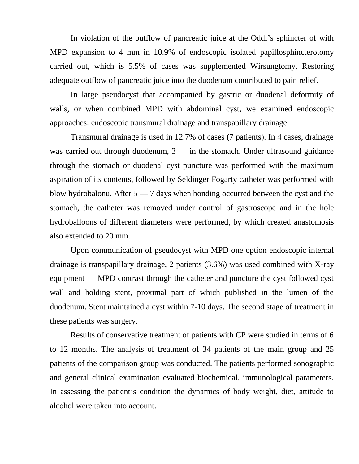In violation of the outflow of pancreatic juice at the Oddi's sphincter of with MPD expansion to 4 mm in 10.9% of endoscopic isolated papillosphincterotomy carried out, which is 5.5% of cases was supplemented Wirsungtomy. Restoring adequate outflow of pancreatic juice into the duodenum contributed to pain relief.

In large pseudocyst that accompanied by gastric or duodenal deformity of walls, or when combined MPD with abdominal cyst, we examined endoscopic approaches: endoscopic transmural drainage and transpapillary drainage.

Transmural drainage is used in 12.7% of cases (7 patients). In 4 cases, drainage was carried out through duodenum,  $3 -$  in the stomach. Under ultrasound guidance through the stomach or duodenal cyst puncture was performed with the maximum aspiration of its contents, followed by Seldinger Fogarty catheter was performed with blow hydrobalonu. After  $5 - 7$  days when bonding occurred between the cyst and the stomach, the catheter was removed under control of gastroscope and in the hole hydroballoons of different diameters were performed, by which created anastomosis also extended to 20 mm.

Upon communication of pseudocyst with MPD one option endoscopic internal drainage is transpapillary drainage, 2 patients (3.6%) was used combined with X-ray equipment — MPD contrast through the catheter and puncture the cyst followed cyst wall and holding stent, proximal part of which published in the lumen of the duodenum. Stent maintained a cyst within 7-10 days. The second stage of treatment in these patients was surgery.

Results of conservative treatment of patients with CP were studied in terms of 6 to 12 months. The analysis of treatment of 34 patients of the main group and 25 patients of the comparison group was conducted. The patients performed sonographic and general clinical examination evaluated biochemical, immunological parameters. In assessing the patient's condition the dynamics of body weight, diet, attitude to alcohol were taken into account.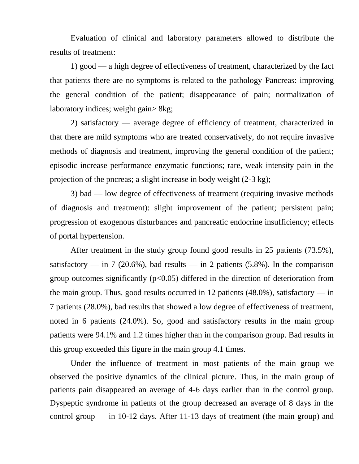Evaluation of clinical and laboratory parameters allowed to distribute the results of treatment:

1) good — a high degree of effectiveness of treatment, characterized by the fact that patients there are no symptoms is related to the pathology Pancreas: improving the general condition of the patient; disappearance of pain; normalization of laboratory indices; weight gain> 8kg;

2) satisfactory — average degree of efficiency of treatment, characterized in that there are mild symptoms who are treated conservatively, do not require invasive methods of diagnosis and treatment, improving the general condition of the patient; episodic increase performance enzymatic functions; rare, weak intensity pain in the projection of the pncreas; a slight increase in body weight (2-3 kg);

3) bad — low degree of effectiveness of treatment (requiring invasive methods of diagnosis and treatment): slight improvement of the patient; persistent pain; progression of exogenous disturbances and pancreatic endocrine insufficiency; effects of portal hypertension.

After treatment in the study group found good results in 25 patients (73.5%), satisfactory — in 7 (20.6%), bad results — in 2 patients (5.8%). In the comparison group outcomes significantly  $(p<0.05)$  differed in the direction of deterioration from the main group. Thus, good results occurred in 12 patients  $(48.0\%)$ , satisfactory — in 7 patients (28.0%), bad results that showed a low degree of effectiveness of treatment, noted in 6 patients (24.0%). So, good and satisfactory results in the main group patients were 94.1% and 1.2 times higher than in the comparison group. Bad results in this group exceeded this figure in the main group 4.1 times.

Under the influence of treatment in most patients of the main group we observed the positive dynamics of the clinical picture. Thus, in the main group of patients pain disappeared an average of 4-6 days earlier than in the control group. Dyspeptic syndrome in patients of the group decreased an average of 8 days in the control group — in 10-12 days. After 11-13 days of treatment (the main group) and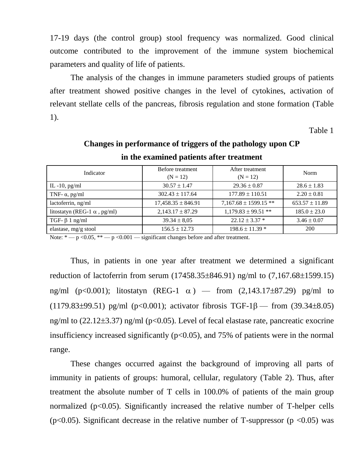17-19 days (the control group) stool frequency was normalized. Good clinical outcome contributed to the improvement of the immune system biochemical parameters and quality of life of patients.

The analysis of the changes in immune parameters studied groups of patients after treatment showed positive changes in the level of cytokines, activation of relevant stellate cells of the pancreas, fibrosis regulation and stone formation (Table 1).

Table 1

| Indicator                           | Before treatment       | After treatment           | <b>Norm</b>        |
|-------------------------------------|------------------------|---------------------------|--------------------|
|                                     | $(N = 12)$             | $(N = 12)$                |                    |
| IL $-10$ , pg/ml                    | $30.57 \pm 1.47$       | $29.36 \pm 0.87$          | $28.6 \pm 1.83$    |
| TNF- $\alpha$ , pg/ml               | $302.43 \pm 117.64$    | $177.89 \pm 110.51$       | $2.20 \pm 0.81$    |
| lactoferrin, ng/ml                  | $17,458.35 \pm 846.91$ | $7,167.68 \pm 1599.15$ ** | $653.57 \pm 11.89$ |
| litostatyn (REG-1 $\alpha$ , pg/ml) | $2,143.17 \pm 87.29$   | $1,179.83 \pm 99.51$ **   | $185.0 \pm 23.0$   |
| TGF- $\beta$ 1 ng/ml                | $39.34 \pm 8.05$       | $22.12 \pm 3.37$ *        | $3.46 \pm 0.07$    |
| elastase, mg/g stool                | $156.5 \pm 12.73$      | $198.6 \pm 11.39$ *       | 200                |

## **Changes in performance of triggers of the pathology upon CP in the examined patients after treatment**

Note:  $* - p < 0.05$ ,  $** - p < 0.001$  — significant changes before and after treatment.

Thus, in patients in one year after treatment we determined a significant reduction of lactoferrin from serum  $(17458.35 \pm 846.91)$  ng/ml to  $(7,167.68 \pm 1599.15)$ ng/ml (p<0.001); litostatyn (REG-1  $\alpha$ ) — from (2,143.17±87.29) pg/ml to (1179.83 $\pm$ 99.51) pg/ml (p<0.001); activator fibrosis TGF-1 $\beta$  — from (39.34 $\pm$ 8.05) ng/ml to  $(22.12\pm3.37)$  ng/ml (p<0.05). Level of fecal elastase rate, pancreatic exocrine insufficiency increased significantly ( $p<0.05$ ), and 75% of patients were in the normal range.

These changes occurred against the background of improving all parts of immunity in patients of groups: humoral, cellular, regulatory (Table 2). Thus, after treatment the absolute number of T cells in 100.0% of patients of the main group normalized  $(p<0.05)$ . Significantly increased the relative number of T-helper cells ( $p$ <0.05). Significant decrease in the relative number of T-suppressor ( $p$  <0.05) was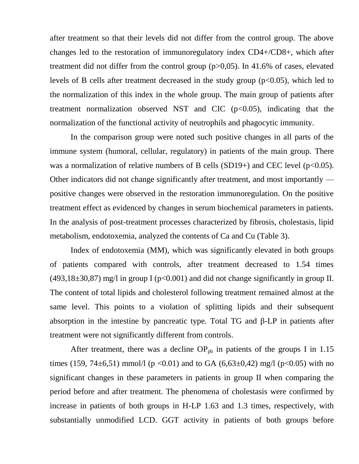after treatment so that their levels did not differ from the control group. The above changes led to the restoration of immunoregulatory index CD4+/CD8+, which after treatment did not differ from the control group (p>0,05). In 41.6% of cases, elevated levels of B cells after treatment decreased in the study group  $(p<0.05)$ , which led to the normalization of this index in the whole group. The main group of patients after treatment normalization observed NST and CIC  $(p<0.05)$ , indicating that the normalization of the functional activity of neutrophils and phagocytic immunity.

In the comparison group were noted such positive changes in all parts of the immune system (humoral, cellular, regulatory) in patients of the main group. There was a normalization of relative numbers of B cells  $(SD19+)$  and CEC level ( $p<0.05$ ). Other indicators did not change significantly after treatment, and most importantly positive changes were observed in the restoration immunoregulation. On the positive treatment effect as evidenced by changes in serum biochemical parameters in patients. In the analysis of post-treatment processes characterized by fibrosis, cholestasis, lipid metabolism, endotoxemia, analyzed the contents of Ca and Cu (Table 3).

Index of endotoxemia (MM), which was significantly elevated in both groups of patients compared with controls, after treatment decreased to 1.54 times  $(493,18\pm30,87)$  mg/l in group I (p<0.001) and did not change significantly in group II. The content of total lipids and cholesterol following treatment remained almost at the same level. This points to a violation of splitting lipids and their subsequent absorption in the intestine by pancreatic type. Total TG and β-LP in patients after treatment were not significantly different from controls.

After treatment, there was a decline  $OP_{pb}$  in patients of the groups I in 1.15 times (159, 74 $\pm$ 6,51) mmol/l (p <0.01) and to GA (6,63 $\pm$ 0,42) mg/l (p <0.05) with no significant changes in these parameters in patients in group II when comparing the period before and after treatment. The phenomena of cholestasis were confirmed by increase in patients of both groups in H-LP 1.63 and 1.3 times, respectively, with substantially unmodified LCD. GGT activity in patients of both groups before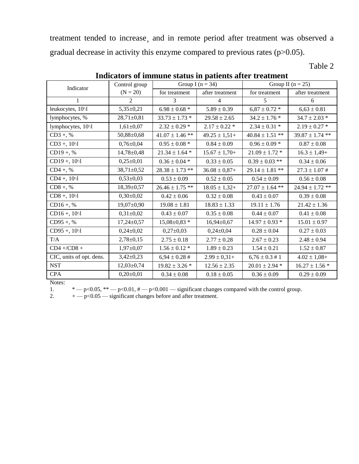treatment tended to increase¸ and in remote period after treatment was observed a gradual decrease in activity this enzyme compared to previous rates (p>0.05).

| Indicator                      | Control group    |                     | Group I ( $n = 34$ ) | Group II $(n = 25)$   |                     |
|--------------------------------|------------------|---------------------|----------------------|-----------------------|---------------------|
|                                | $(N = 20)$       | for treatment       | after treatment      | for treatment         | after treatment     |
| $\mathbf{1}$                   | 2                | 3                   | $\overline{4}$       | 5                     | 6                   |
| leukocytes, 10 <sup>9</sup> /l | $5,35\pm0,21$    | $6.98\pm0.68$ *     | $5.89 \pm 0.39$      | $6,87 \pm 0.72$ *     | $6,63 \pm 0.81$     |
| lymphocytes, %                 | $28,71 \pm 0,81$ | $33.73 \pm 1.73$ *  | $29.58 \pm 2.65$     | $34.2 \pm 1.76$ *     | $34.7 \pm 2.03$ *   |
| lymphocytes, 10 <sup>%</sup> l | $1,61\pm0,07$    | $2.32 \pm 0.29$ *   | $2.17 \pm 0.22$ *    | $2.34 \pm 0.31$ *     | $2.19 \pm 0.27$ *   |
| $CD3 +, %$                     | $50,88 \pm 0,68$ | $41.07 \pm 1.46$ ** | $49.25 \pm 1,51+$    | $40.84 \pm 1.51$ **   | $39.87 \pm 1.74$ ** |
| $CD3 + 109$                    | $0,76 \pm 0,04$  | $0.95\pm0.08$ *     | $0.84 \pm 0.09$      | $0.96 \pm 0.09$ *     | $0.87 \pm 0.08$     |
| $CD19 +, %$                    | $14,78 \pm 0,48$ | $21.34 \pm 1.64$ *  | $15.67 \pm 1,70+$    | $21.09 \pm 1.72$ *    | $16.3 \pm 1,49+$    |
| $CD19 + 109$                   | $0,25\pm0,01$    | $0.36 \pm 0.04$ *   | $0.33 \pm 0.05$      | $0.39 \pm 0.03$ **    | $0.34 \pm 0.06$     |
| $CD4 +, %$                     | 38,71±0,52       | $28.38 \pm 1.73$ ** | $36.08 \pm 0.87+$    | $29.14 \pm 1.81$ **   | $27.3 \pm 1.07$ #   |
| $CD4 +$ , $10^{\circ}$         | $0,53\pm0,03$    | $0.53 \pm 0.09$     | $0.52 \pm 0.05$      | $0.54 \pm 0.09$       | $0.56 \pm 0.08$     |
| $CD8 +, %$                     | 18,39±0,57       | $26.46 \pm 1.75$ ** | $18.05 \pm 1,32+$    | $27.07 \pm 1.64$ **   | $24.94 \pm 1.72$ ** |
| $CD8 + 109/1$                  | $0,30\pm0,02$    | $0.42 \pm 0.06$     | $0.32 \pm 0.08$      | $0.43 \pm 0.07$       | $0.39 \pm 0.08$     |
| $CD16 +, %$                    | $19,07 \pm 0,90$ | $19.08 \pm 1.81$    | $18.83 \pm 1.33$     | $19.11 \pm 1.76$      | $21.42 \pm 1.36$    |
| $CD16 +$ , $10^{\circ}$        | $0,31\pm0,02$    | $0.43 \pm 0.07$     | $0.35 \pm 0.08$      | $0.44 \pm 0.07$       | $0.41 \pm 0.08$     |
| $CD95 +, %$                    | $17,24 \pm 0.57$ | $15,08 \pm 0,83$ *  | $16,94\pm0,67$       | $14.97 \pm 0.93$ *    | $15.01 \pm 0.97$    |
| $CD95 + 109$                   | $0,24\pm0,02$    | $0,27\pm0,03$       | $0,24\pm0,04$        | $0.28 \pm 0.04$       | $0.27 \pm 0.03$     |
| T/A                            | $2,78 \pm 0,15$  | $2.75 \pm 0.18$     | $2.77 \pm 0.28$      | $2.67 \pm 0.23$       | $2.48 \pm 0.94$     |
| $CD4 + /CD8 +$                 | $1,97 \pm 0,07$  | $1.56 \pm 0.12$ *   | $1.89 \pm 0.23$      | $1.54 \pm 0.21$       | $1.52 \pm 0.87$     |
| CIC, units of opt. dens.       | $3,42\pm0,23$    | $6,94 \pm 0.28$ #   | $2.99 \pm 0.31 +$    | $6,76 \pm 0.3 \neq 1$ | $4.02 \pm 1.08 +$   |
| <b>NST</b>                     | $12,03 \pm 0,74$ | $19.82 \pm 3.26$ *  | $12.56 \pm 2.35$     | $20.01 \pm 2.94$ *    | $16.27 \pm 1.56$ *  |
| <b>CPA</b>                     | $0,20\pm0,01$    | $0.34 \pm 0.08$     | $0.18 \pm 0.05$      | $0.36 \pm 0.09$       | $0.29 \pm 0.09$     |
|                                |                  |                     |                      |                       |                     |

### **Indicators of immune status in patients after treatment**

Notes:

1.  $* - p < 0.05$ ,  $* - p < 0.01$ ,  $* - p < 0.001$  — significant changes compared with the control group.

2.  $+$   $p<0.05$   $-$  significant changes before and after treatment.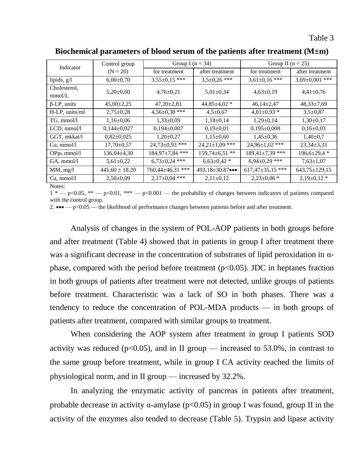| Indicator                    | Control group      | Group I ( $n = 34$ ) |                                     | Group II ( $n = 25$ )  |                      |
|------------------------------|--------------------|----------------------|-------------------------------------|------------------------|----------------------|
|                              | $(N = 20)$         | for treatment        | after treatment                     | for treatment          | after treatment      |
| lipids, g/l                  | $6,00\pm0,70$      | $3,55\pm0.15$ ***    | $3,5\pm0.26$ ***                    | $3,61\pm0,16$ ***      | $3,69 \pm 0,001$ *** |
| Cholesterol,<br>mmol/L       | $5,20\pm0,60$      | $4,76\pm0,21$        | $5,01\pm0,34$                       | $4,63\pm0,19$          | $4,41\pm0,76$        |
| $\beta$ -LP, units           | $45,00\pm2,25$     | $47,20 \pm 2,81$     | $44,85 \pm 4,02*$                   | $46,14\pm2,47$         | $48,33 \pm 7,69$     |
| H-LP, units/ml               | $2,75 \pm 0.28$    | $4,56 \pm 0.38$ ***  | $4,5 \pm 0,67$                      | $4,81\pm0.93*$         | $3,5+0,87$           |
| TG, mmol/l                   | $1,16\pm0.06$      | $1,33\pm0.09$        | $1,18\pm0,14$                       | $1,29\pm0,14$          | $1,30\pm0,17$        |
| $LCD, \, \text{mmol/l}$      | $0,144\pm0,027$    | $0,194\pm0,007$      | $0,19\pm0,01$                       | $0,195 \pm 0,008$      | $0.16 \pm 0.03$      |
| GGT, mkkat/l                 | $0,82{\pm}0,025$   | $1,20\pm0,27$        | $1,15\pm0,60$                       | $1,45\pm0,36$          | $1,40\pm0,7$         |
| $Cu, \,mmol/l$               | $17,70\pm0,57$     | $24,73\pm0.93$ ***   | $24,21\pm1,09$ ***                  | 24,96±1,02 ***         | $23,34 \pm 3,33$     |
| OPpb, mmol/l                 | $136,04\pm4,30$    | 184,97±7,84 ***      | $159,74\pm 6,51$ **                 | 189,41±7,39 ***        | $196,6{\pm}29,4*$    |
| GA, mmol/l                   | $5,61\pm0,22$      | $6,73\pm0,24$ ***    | $6,63\pm0,42*$                      | $6,94\pm0,29$ ***      | $7,63 \pm 1,07$      |
| MM, mg/l                     | $445.60 \pm 18.20$ | 760,44±46,31 ***     | 493.18 $\pm$ 30.87 $\bullet\bullet$ | 617,47 $\pm$ 35,15 *** | $643,75 \pm 129,15$  |
| Ca, mmol/l<br>$\mathbf{r}$ . | $2,50\pm0.09$      | $2,17\pm0.04$ ***    | $2,11\pm0,12$                       | $2,23\pm0,06*$         | $2,19\pm0,12*$       |

**Biochemical parameters of blood serum of the patients after treatment (M±m)**

Notes:

 $1 * -p < 0.05$ ,  $** -p < 0.01$ ,  $*** -p < 0.001$  — the probability of changes between indicators of patients compared with the control group.

2.  $\bullet\bullet$  - p<0.05 — the likelihood of performance changes between patients before and after treatment.

Analysis of changes in the system of POL-AOP patients in both groups before and after treatment (Table 4) showed that in patients in group I after treatment there was a significant decrease in the concentration of substrates of lipid peroxidation in αphase, compared with the period before treatment  $(p<0.05)$ . JDC in heptanes fraction in both groups of patients after treatment were not detected, unlike groups of patients before treatment. Characteristic was a lack of SO in both phases. There was a tendency to reduce the concentration of POL-MDA products — in both groups of patients after treatment, compared with similar groups to treatment.

When considering the AOP system after treatment in group I patients SOD activity was reduced ( $p<0.05$ ), and in II group — increased to 53.0%, in contrast to the same group before treatment, while in group I CA activity reached the limits of physiological norm, and in II group — increased by 32.2%.

In analyzing the enzymatic activity of pancreas in patients after treatment, probable decrease in activity  $\alpha$ -amylase ( $p<0.05$ ) in group I was found, group II in the activity of the enzymes also tended to decrease (Table 5). Trypsin and lipase activity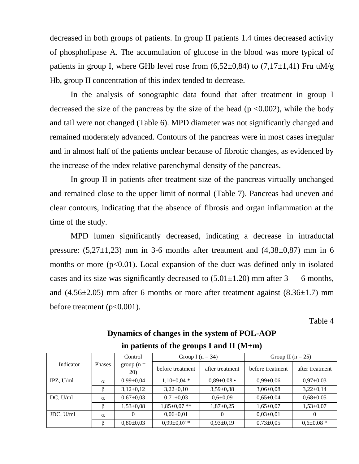decreased in both groups of patients. In group II patients 1.4 times decreased activity of phospholipase A. The accumulation of glucose in the blood was more typical of patients in group I, where GHb level rose from  $(6,52\pm0,84)$  to  $(7,17\pm1,41)$  Fru uM/g Hb, group II concentration of this index tended to decrease.

In the analysis of sonographic data found that after treatment in group I decreased the size of the pancreas by the size of the head ( $p \le 0.002$ ), while the body and tail were not changed (Table 6). MPD diameter was not significantly changed and remained moderately advanced. Contours of the pancreas were in most cases irregular and in almost half of the patients unclear because of fibrotic changes, as evidenced by the increase of the index relative parenchymal density of the pancreas.

In group II in patients after treatment size of the pancreas virtually unchanged and remained close to the upper limit of normal (Table 7). Pancreas had uneven and clear contours, indicating that the absence of fibrosis and organ inflammation at the time of the study.

MPD lumen significantly decreased, indicating a decrease in intraductal pressure:  $(5,27\pm1,23)$  mm in 3-6 months after treatment and  $(4,38\pm0,87)$  mm in 6 months or more  $(p<0.01)$ . Local expansion of the duct was defined only in isolated cases and its size was significantly decreased to  $(5.01\pm1.20)$  mm after 3 — 6 months, and  $(4.56\pm2.05)$  mm after 6 months or more after treatment against  $(8.36\pm1.7)$  mm before treatment (p<0.001).

Table 4

|             |          | Control              | Group I ( $n = 34$ ) |                   | Group II ( $n = 25$ ) |                 |
|-------------|----------|----------------------|----------------------|-------------------|-----------------------|-----------------|
| Indicator   | Phases   | group ( $n =$<br>20) | before treatment     | after treatment   | before treatment      | after treatment |
| IPZ, $U/ml$ | $\alpha$ | $0,99 \pm 0,04$      | $1,10\pm0.04*$       | $0.89 \pm 0.08$ • | $0.99 \pm 0.06$       | $0,97\pm0,03$   |
|             |          | $3,12\pm0,12$        | $3,22\pm0,10$        | $3,59\pm0.38$     | $3.06 \pm 0.08$       | $3,22\pm0,14$   |
| DC, U/ml    | $\alpha$ | $0.67 \pm 0.03$      | $0,71\pm0,03$        | $0,6{\pm}0,09$    | $0,65 \pm 0,04$       | $0.68 \pm 0.05$ |
|             |          | $1,53 \pm 0,08$      | $1,85 \pm 0.07$ **   | $1,87+0,25$       | $1,65 \pm 0.07$       | $1,53\pm0,07$   |
| JDC, U/ml   | $\alpha$ | $\Omega$             | $0,06 \pm 0,01$      | 0                 | $0,03\pm0,01$         | 0               |
|             |          | $0,80\pm0,03$        | $0,99\pm0,07*$       | $0,93\pm0,19$     | $0,73\pm0,05$         | $0.6 \pm 0.08*$ |

**Dynamics of changes in the system of POL-AOP in patients of the groups I and II (M±m)**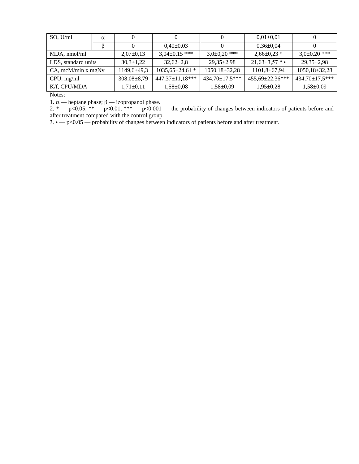| SO, U/ml            | $\alpha$ |                   |                        |                       | $0.01 + 0.01$          |                     |
|---------------------|----------|-------------------|------------------------|-----------------------|------------------------|---------------------|
|                     |          |                   | $0.40 \pm 0.03$        |                       | $0.36 \pm 0.04$        |                     |
| MDA, nmol/ml        |          | $2,07\pm0,13$     | $3,04\pm0,15$ ***      | $3,0{\pm}0,20$ ***    | $2,66 \pm 0.23$ *      | $3,0{\pm}0.20$ ***  |
| LDS, standard units |          | $30.3 \pm 1.22$   | $32.62 \pm 2.8$        | $29.35 \pm 2.98$      | $21,63 \pm 3,57$ * •   | $29.35 \pm 2.98$    |
| CA, mcM/min x mgNv  |          | 1149,6±49,3       | $1035,65\pm24,61*$     | $1050, 18\pm32, 28$   | $1101,8 \pm 67,94$     | $1050, 18\pm32, 28$ |
| CPU, mg/ml          |          | $308,08 \pm 8,79$ | $447,37 \pm 11,18$ *** | $434,70 \pm 17,5$ *** | $455,69 \pm 22,36$ *** | $434,70\pm17.5***$  |
| K/f, CPU/MDA        |          | $1,71\pm0,11$     | $1,58 \pm 0.08$        | $1,58 \pm 0.09$       | $1,95\pm0.28$          | $1,58 \pm 0.09$     |

Notes:

1.  $\alpha$  — heptane phase;  $\beta$  — izopropanol phase.

2. \*  $-p<0.05$ , \*\*  $-p<0.01$ , \*\*\*  $-p<0.001$  — the probability of changes between indicators of patients before and after treatment compared with the control group.

3. • — p<0.05 — probability of changes between indicators of patients before and after treatment.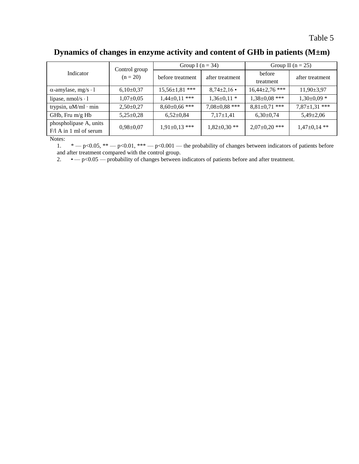### **Dynamics of changes in enzyme activity and content of GHb in patients (M±m)**

|                                                  | Control group   | Group I ( $n = 34$ ) |                   | Group II ( $n = 25$ ) |                   |
|--------------------------------------------------|-----------------|----------------------|-------------------|-----------------------|-------------------|
| Indicator                                        | $(n = 20)$      | before treatment     | after treatment   | before<br>treatment   | after treatment   |
| $\alpha$ -amylase, mg/s $\cdot$ 1                | $6,10\pm0.37$   | $15,56\pm1,81$ ***   | $8,74\pm2,16$ •   | $16,44\pm2,76$ ***    | $11,90 \pm 3,97$  |
| lipase, $nmol/s \cdot 1$                         | $1,07 \pm 0,05$ | $1,44\pm0,11$ ***    | $1,36\pm0,11*$    | $1,38\pm0.08$ ***     | $1,30\pm0.09*$    |
| trypsin, $uM/ml \cdot min$                       | $2,50\pm0,27$   | $8,60\pm0,66$ ***    | $7,08\pm0,88$ *** | $8,81\pm0,71$ ***     | $7,87\pm1,31$ *** |
| GHb, Fru m/g Hb                                  | $5,25\pm0,28$   | $6,52{\pm}0,84$      | $7,17\pm1,41$     | $6,30\pm0,74$         | $5,49\pm2,06$     |
| phospholipase A, units<br>$F/A$ in 1 ml of serum | $0,98 \pm 0,07$ | $1,91\pm0,13$ ***    | $1,82\pm0,30**$   | $2,07\pm0,20$ ***     | $1,47\pm0,14$ **  |

Notes:

1.  $* - p < 0.05$ ,  $* - p < 0.01$ ,  $* + p < 0.001$  — the probability of changes between indicators of patients before and after treatment compared with the control group.

2. •  $-p<0.05$  — probability of changes between indicators of patients before and after treatment.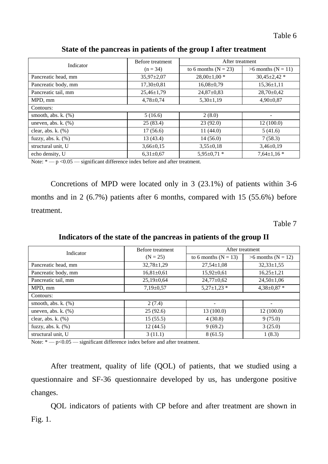Table 6

| Indicator              | Before treatment | After treatment          |                      |  |
|------------------------|------------------|--------------------------|----------------------|--|
|                        | $(n = 34)$       | to 6 months ( $N = 23$ ) | $>6$ months (N = 11) |  |
| Pancreatic head, mm    | $35,97 \pm 2,07$ | $28,00\pm1,00*$          | $30,45\pm2,42*$      |  |
| Pancreatic body, mm    | $17,30\pm0.81$   | $16,08 \pm 0,79$         | $15,36\pm1,11$       |  |
| Pancreatic tail, mm    | $25,46 \pm 1,79$ | $24,87 \pm 0.83$         | $28,70+0,42$         |  |
| MPD, mm                | $4,78 \pm 0,74$  | $5,30\pm1,19$            | $4,90\pm0,87$        |  |
| Contours:              |                  |                          |                      |  |
| smooth, abs. k. $(\%)$ | 5(16.6)          | 2(8.0)                   | -                    |  |
| uneven, abs. k. $(\%)$ | 25(83.4)         | 23(92.0)                 | 12(100.0)            |  |
| clear, abs. k. $(\%)$  | 17(56.6)         | 11(44.0)                 | 5(41.6)              |  |
| fuzzy, abs. k. $(\%)$  | 13(43.4)         | 14(56.0)                 | 7(58.3)              |  |
| structural unit, U     | $3,66 \pm 0,15$  | $3,55\pm0,18$            | $3,46\pm0,19$        |  |
| echo density, U        | $6.31 \pm 0.67$  | $5,95\pm0,71*$           | $7,64\pm1,16*$       |  |

**State of the pancreas in patients of the group I after treatment**

Note:  $* - p < 0.05$  — significant difference index before and after treatment.

Concretions of MPD were located only in 3 (23.1%) of patients within 3-6 months and in 2 (6.7%) patients after 6 months, compared with 15 (55.6%) before treatment.

Table 7

| Indicator              | Before treatment | After treatment          |                      |  |
|------------------------|------------------|--------------------------|----------------------|--|
|                        | $(N = 25)$       | to 6 months ( $N = 13$ ) | $>6$ months (N = 12) |  |
| Pancreatic head, mm    | $32,78 \pm 1,29$ | $27,54 \pm 1,08$         | $32,33 \pm 1,55$     |  |
| Pancreatic body, mm    | $16,81\pm0,61$   | $15,92 \pm 0,61$         | $16,25 \pm 1,21$     |  |
| Pancreatic tail, mm    | $25,19\pm0,64$   | $24,77 \pm 0.62$         | $24,50 \pm 1,06$     |  |
| MPD, mm                | $7,19\pm0,57$    | $5,27\pm1,23*$           | $4,38\pm0.87$ *      |  |
| Contours:              |                  |                          |                      |  |
| smooth, abs. k. $(\%)$ | 2(7.4)           |                          | -                    |  |
| uneven, abs. k. $(\%)$ | 25(92.6)         | 13(100.0)                | 12(100.0)            |  |
| clear, abs. k. $(\%)$  | 15(55.5)         | 4(30.8)                  | 9(75.0)              |  |
| fuzzy, abs. k. $(\%)$  | 12(44.5)         | 9(69.2)                  | 3(25.0)              |  |
| structural unit, U     | 3(11.1)          | 8(61.5)                  | 1(8.3)               |  |

#### **Indicators of the state of the pancreas in patients of the group II**

Note: \*  $-p<0.05$  — significant difference index before and after treatment.

After treatment, quality of life (QOL) of patients, that we studied using a questionnaire and SF-36 questionnaire developed by us, has undergone positive changes.

QOL indicators of patients with CP before and after treatment are shown in Fig. 1.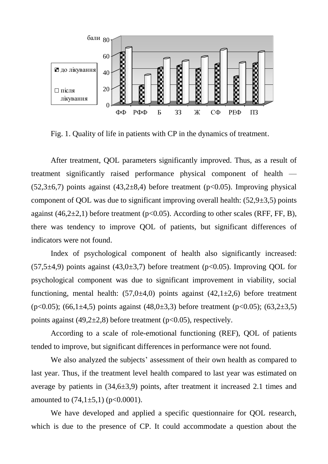

Fig. 1. Quality of life in patients with CP in the dynamics of treatment.

After treatment, QOL parameters significantly improved. Thus, as a result of treatment significantly raised performance physical component of health —  $(52,3\pm6,7)$  points against  $(43,2\pm8,4)$  before treatment (p<0.05). Improving physical component of QOL was due to significant improving overall health:  $(52.9\pm3.5)$  points against  $(46,2\pm2,1)$  before treatment (p<0.05). According to other scales (RFF, FF, B), there was tendency to improve QOL of patients, but significant differences of indicators were not found.

Index of psychological component of health also significantly increased:  $(57,5\pm4,9)$  points against  $(43,0\pm3,7)$  before treatment (p<0.05). Improving QOL for psychological component was due to significant improvement in viability, social functioning, mental health:  $(57,0\pm4,0)$  points against  $(42,1\pm2,6)$  before treatment (p<0.05); (66,1 $\pm$ 4,5) points against (48,0 $\pm$ 3,3) before treatment (p<0.05); (63,2 $\pm$ 3,5) points against  $(49,2{\pm}2,8)$  before treatment (p<0.05), respectively.

According to a scale of role-emotional functioning (REF), QOL of patients tended to improve, but significant differences in performance were not found.

We also analyzed the subjects' assessment of their own health as compared to last year. Thus, if the treatment level health compared to last year was estimated on average by patients in  $(34,6\pm3,9)$  points, after treatment it increased 2.1 times and amounted to  $(74,1\pm5,1)$  (p<0.0001).

We have developed and applied a specific questionnaire for QOL research, which is due to the presence of CP. It could accommodate a question about the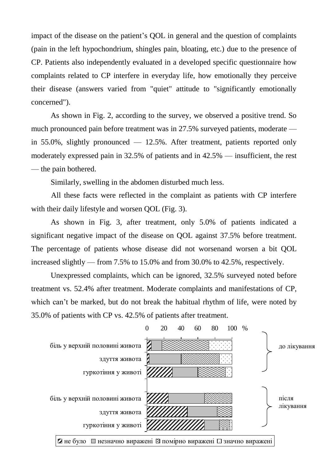impact of the disease on the patient's QOL in general and the question of complaints (pain in the left hypochondrium, shingles pain, bloating, etc.) due to the presence of CP. Patients also independently evaluated in a developed specific questionnaire how complaints related to CP interfere in everyday life, how emotionally they perceive their disease (answers varied from "quiet" attitude to "significantly emotionally concerned").

As shown in Fig. 2, according to the survey, we observed a positive trend. So much pronounced pain before treatment was in 27.5% surveyed patients, moderate in 55.0%, slightly pronounced — 12.5%. After treatment, patients reported only moderately expressed pain in 32.5% of patients and in 42.5% — insufficient, the rest — the pain bothered.

Similarly, swelling in the abdomen disturbed much less.

All these facts were reflected in the complaint as patients with CP interfere with their daily lifestyle and worsen QOL (Fig. 3).

As shown in Fig. 3, after treatment, only 5.0% of patients indicated a significant negative impact of the disease on QOL against 37.5% before treatment. The percentage of patients whose disease did not worsenand worsen a bit QOL increased slightly — from 7.5% to 15.0% and from 30.0% to 42.5%, respectively.

Unexpressed complaints, which can be ignored, 32.5% surveyed noted before treatment vs. 52.4% after treatment. Moderate complaints and manifestations of CP, which can't be marked, but do not break the habitual rhythm of life, were noted by 35.0% of patients with CP vs. 42.5% of patients after treatment.

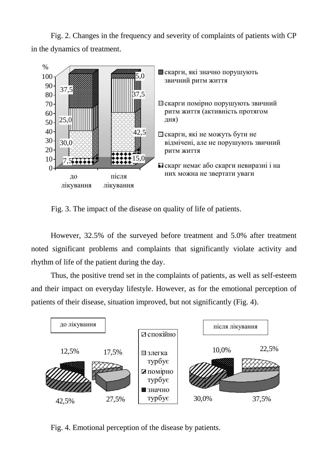Fig. 2. Changes in the frequency and severity of complaints of patients with CP in the dynamics of treatment.



Fig. 3. The impact of the disease on quality of life of patients.

However, 32.5% of the surveyed before treatment and 5.0% after treatment noted significant problems and complaints that significantly violate activity and rhythm of life of the patient during the day.

Thus, the positive trend set in the complaints of patients, as well as self-esteem and their impact on everyday lifestyle. However, as for the emotional perception of patients of their disease, situation improved, but not significantly (Fig. 4).



Fig. 4. Emotional perception of the disease by patients.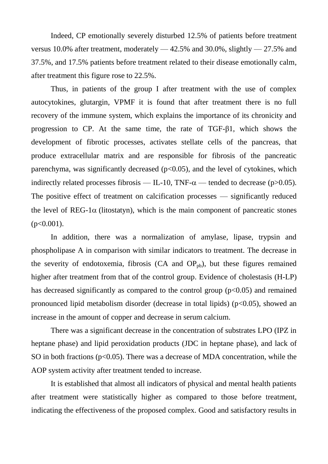Indeed, CP emotionally severely disturbed 12.5% of patients before treatment versus 10.0% after treatment, moderately — 42.5% and 30.0%, slightly — 27.5% and 37.5%, and 17.5% patients before treatment related to their disease emotionally calm, after treatment this figure rose to 22.5%.

Thus, in patients of the group I after treatment with the use of complex autocytokines, glutargin, VPMF it is found that after treatment there is no full recovery of the immune system, which explains the importance of its chronicity and progression to CP. At the same time, the rate of TGF-β1, which shows the development of fibrotic processes, activates stellate cells of the pancreas, that produce extracellular matrix and are responsible for fibrosis of the pancreatic parenchyma, was significantly decreased  $(p<0.05)$ , and the level of cytokines, which indirectly related processes fibrosis — IL-10, TNF- $\alpha$  — tended to decrease (p>0.05). The positive effect of treatment on calcification processes — significantly reduced the level of REG-1 $\alpha$  (litostatyn), which is the main component of pancreatic stones  $(p<0.001)$ .

In addition, there was a normalization of amylase, lipase, trypsin and phospholipase A in comparison with similar indicators to treatment. The decrease in the severity of endotoxemia, fibrosis  $(CA \text{ and } OP_{\text{nb}})$ , but these figures remained higher after treatment from that of the control group. Evidence of cholestasis (H-LP) has decreased significantly as compared to the control group  $(p<0.05)$  and remained pronounced lipid metabolism disorder (decrease in total lipids) ( $p<0.05$ ), showed an increase in the amount of copper and decrease in serum calcium.

There was a significant decrease in the concentration of substrates LPO (IPZ in heptane phase) and lipid peroxidation products (JDC in heptane phase), and lack of SO in both fractions (p<0.05). There was a decrease of MDA concentration, while the AOP system activity after treatment tended to increase.

It is established that almost all indicators of physical and mental health patients after treatment were statistically higher as compared to those before treatment, indicating the effectiveness of the proposed complex. Good and satisfactory results in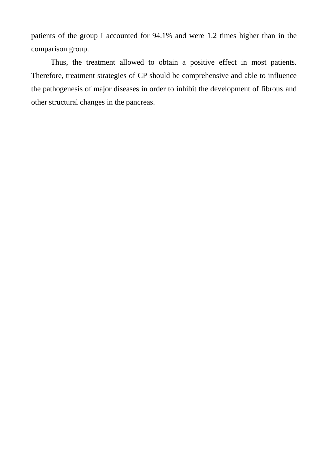patients of the group I accounted for 94.1% and were 1.2 times higher than in the comparison group.

Thus, the treatment allowed to obtain a positive effect in most patients. Therefore, treatment strategies of CP should be comprehensive and able to influence the pathogenesis of major diseases in order to inhibit the development of fibrous and other structural changes in the pancreas.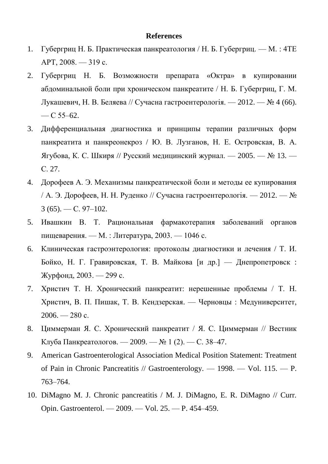#### **References**

- 1. Губергриц Н. Б. Практическая панкреатология / Н. Б. Губергриц. М. : 4ТЕ АРТ, 2008. — 319 с.
- 2. Губергриц Н. Б. Возможности препарата «Октра» в купировании абдоминальной боли при хроническом панкреатите / Н. Б. Губергриц, Г. М. Лукашевич, Н. В. Беляева // Сучасна гастроентерологія. — 2012. — № 4 (66).  $-C 55-62.$
- 3. Дифференциальная диагностика и принципы терапии различных форм панкреатита и панкреонекроз / Ю. В. Лузганов, Н. Е. Островская, В. А. Ягубова, К. С. Шкиря // Русский медицинский журнал. — 2005. — № 13. — С. 27.
- 4. Дорофеев А. Э. Механизмы панкреатической боли и методы ее купирования / А. Э. Дорофеев, Н. Н. Руденко // Сучасна гастроентерологія. — 2012. — №  $3(65)$ . — C. 97–102.
- 5. Ивашкин В. Т. Рациональная фармакотерапия заболеваний органов пищеварения. — М. : Литература, 2003. — 1046 с.
- 6. Клиническая гастроэнтерология: протоколы диагностики и лечения / Т. И. Бойко, Н. Г. Гравировская, Т. В. Майкова [и др.] — Днепропетровск : Журфонд, 2003. — 299 с.
- 7. Христич Т. Н. Хронический панкреатит: нерешенные проблемы / Т. Н. Христич, В. П. Пишак, Т. В. Кендзерская. — Черновцы : Медуниверситет,  $2006. - 280$  c.
- 8. Циммерман Я. С. Хронический панкреатит / Я. С. Циммерман // Вестник Клуба Панкреатологов. — 2009. — № 1 (2). — С. 38–47.
- 9. American Gastroenterological Association Medical Position Statement: Treatment of Pain in Chronic Pancreatitis // Gastroenterology. — 1998. — Vol. 115. — P. 763–764.
- 10. DiMagno M. J. Chronic pancreatitis / M. J. DiMagno, E. R. DiMagno // Curr. Opin. Gastroenterol. — 2009. — Vol. 25. — P. 454–459.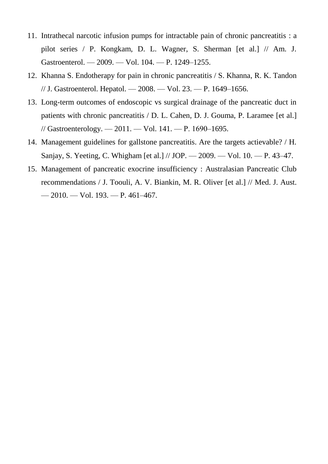- 11. Intrathecal narcotic infusion pumps for intractable pain of chronic pancreatitis : a pilot series / P. Kongkam, D. L. Wagner, S. Sherman [et al.] // Am. J. Gastroenterol. — 2009. — Vol. 104. — P. 1249–1255.
- 12. Khanna S. Endotherapy for pain in chronic pancreatitis / S. Khanna, R. K. Tandon // J. Gastroenterol. Hepatol. — 2008. — Vol. 23. — P. 1649–1656.
- 13. Long-term outcomes of endoscopic vs surgical drainage of the pancreatic duct in patients with chronic pancreatitis / D. L. Cahen, D. J. Gouma, P. Laramee [et al.] // Gastroenterology. — 2011. — Vol. 141. — Р. 1690–1695.
- 14. Management guidelines for gallstone pancreatitis. Are the targets actievable? / H. Sanjay, S. Yeeting, C. Whigham [et al.] // JOP. — 2009. — Vol. 10. — P. 43–47.
- 15. Management of pancreatic exocrine insufficiency : Australasian Pancreatic Club recommendations / J. Toouli, A. V. Biankin, M. R. Oliver [et al.] // Med. J. Aust. — 2010. — Vol. 193. — P. 461–467.